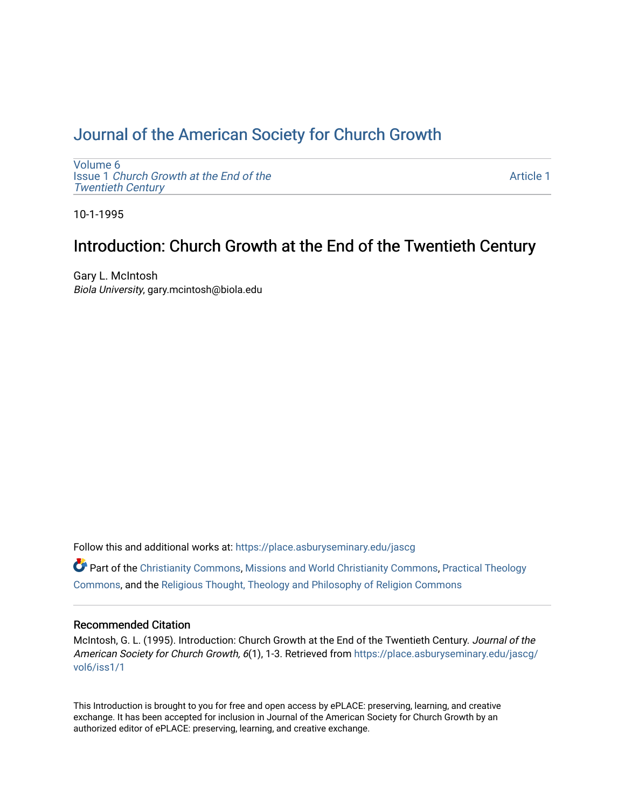# [Journal of the American Society for Church Growth](https://place.asburyseminary.edu/jascg)

[Volume 6](https://place.asburyseminary.edu/jascg/vol6) Issue 1 [Church Growth at the End of the](https://place.asburyseminary.edu/jascg/vol6/iss1) [Twentieth Century](https://place.asburyseminary.edu/jascg/vol6/iss1) 

[Article 1](https://place.asburyseminary.edu/jascg/vol6/iss1/1) 

10-1-1995

# Introduction: Church Growth at the End of the Twentieth Century

Gary L. McIntosh Biola University, gary.mcintosh@biola.edu

Follow this and additional works at: [https://place.asburyseminary.edu/jascg](https://place.asburyseminary.edu/jascg?utm_source=place.asburyseminary.edu%2Fjascg%2Fvol6%2Fiss1%2F1&utm_medium=PDF&utm_campaign=PDFCoverPages)

 $\bullet$  Part of the [Christianity Commons,](https://network.bepress.com/hgg/discipline/1181?utm_source=place.asburyseminary.edu%2Fjascg%2Fvol6%2Fiss1%2F1&utm_medium=PDF&utm_campaign=PDFCoverPages) [Missions and World Christianity Commons](https://network.bepress.com/hgg/discipline/1187?utm_source=place.asburyseminary.edu%2Fjascg%2Fvol6%2Fiss1%2F1&utm_medium=PDF&utm_campaign=PDFCoverPages), Practical Theology [Commons](https://network.bepress.com/hgg/discipline/1186?utm_source=place.asburyseminary.edu%2Fjascg%2Fvol6%2Fiss1%2F1&utm_medium=PDF&utm_campaign=PDFCoverPages), and the [Religious Thought, Theology and Philosophy of Religion Commons](https://network.bepress.com/hgg/discipline/544?utm_source=place.asburyseminary.edu%2Fjascg%2Fvol6%2Fiss1%2F1&utm_medium=PDF&utm_campaign=PDFCoverPages) 

## Recommended Citation

McIntosh, G. L. (1995). Introduction: Church Growth at the End of the Twentieth Century. Journal of the American Society for Church Growth, 6(1), 1-3. Retrieved from [https://place.asburyseminary.edu/jascg/](https://place.asburyseminary.edu/jascg/vol6/iss1/1?utm_source=place.asburyseminary.edu%2Fjascg%2Fvol6%2Fiss1%2F1&utm_medium=PDF&utm_campaign=PDFCoverPages) [vol6/iss1/1](https://place.asburyseminary.edu/jascg/vol6/iss1/1?utm_source=place.asburyseminary.edu%2Fjascg%2Fvol6%2Fiss1%2F1&utm_medium=PDF&utm_campaign=PDFCoverPages) 

This Introduction is brought to you for free and open access by ePLACE: preserving, learning, and creative exchange. It has been accepted for inclusion in Journal of the American Society for Church Growth by an authorized editor of ePLACE: preserving, learning, and creative exchange.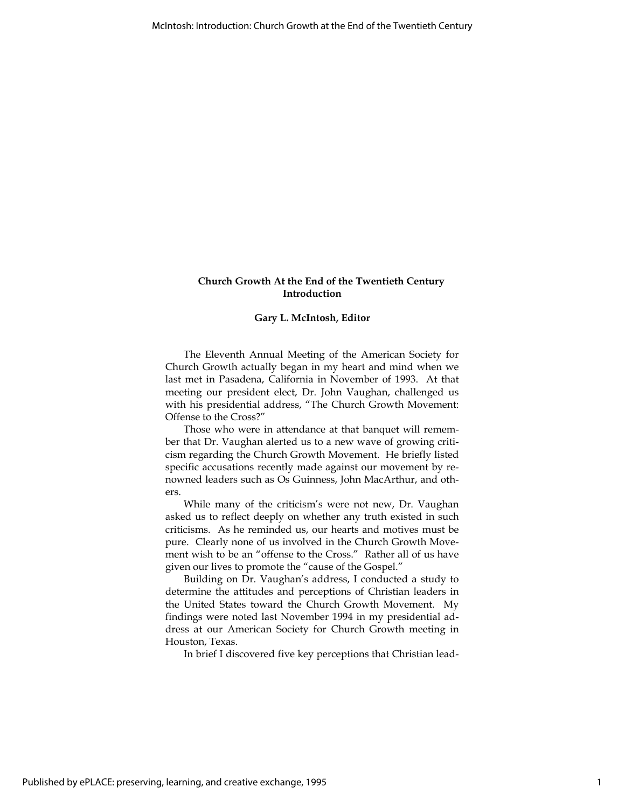### Church Growth At the End of the Twentieth Century Introduction

### Gary L. McIntosh, Editor

The Eleventh Annual Meeting of the American Society for Church Growth actually began in my heart and mind when we last met in Pasadena, California in November of 1993. At that meeting our president elect, Dr. John Vaughan, challenged us with his presidential address, "The Church Growth Movement: Offense to the Cross?"

Those who were in attendance at that banquet will remember that Dr. Vaughan alerted us to a new wave of growing criticism regarding the Church Growth Movement. He briefly listed specific accusations recently made against our movement by renowned leaders such as Os Guinness, John MacArthur, and others.

While many of the criticism's were not new, Dr. Vaughan asked us to reflect deeply on whether any truth existed in such criticisms. As he reminded us, our hearts and motives must be pure. Clearly none of us involved in the Church Growth Movement wish to be an "offense to the Cross." Rather all of us have given our lives to promote the "cause of the Gospel."

Building on Dr. Vaughan's address, I conducted a study to determine the attitudes and perceptions of Christian leaders in the United States toward the Church Growth Movement. My findings were noted last November 1994 in my presidential address at our American Society for Church Growth meeting in Houston, Texas.

In brief I discovered five key perceptions that Christian lead-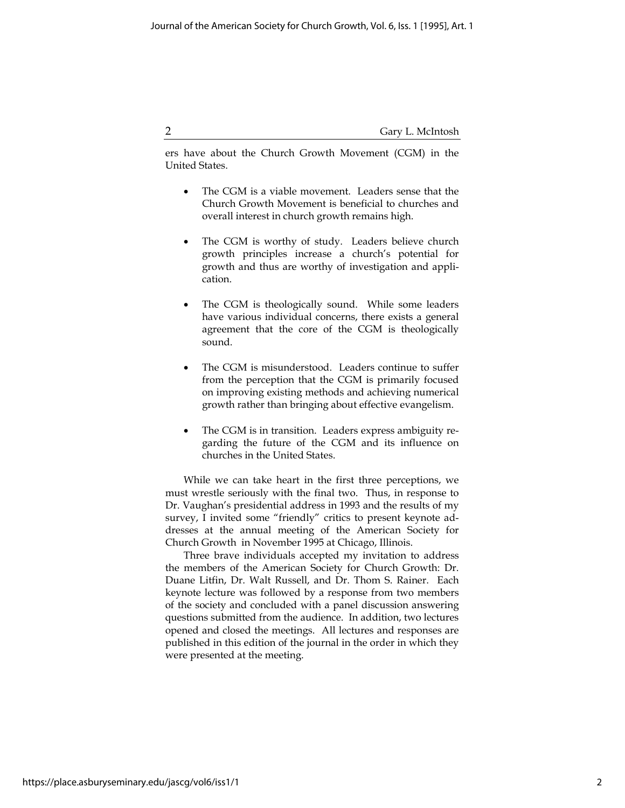2 Gary L. McIntosh

ers have about the Church Growth Movement (CGM) in the United States.

- The CGM is a viable movement. Leaders sense that the Church Growth Movement is beneficial to churches and overall interest in church growth remains high.
- The CGM is worthy of study. Leaders believe church growth principles increase a church's potential for growth and thus are worthy of investigation and application.
- The CGM is theologically sound. While some leaders have various individual concerns, there exists a general agreement that the core of the CGM is theologically sound.
- The CGM is misunderstood. Leaders continue to suffer from the perception that the CGM is primarily focused on improving existing methods and achieving numerical growth rather than bringing about effective evangelism.
- The CGM is in transition. Leaders express ambiguity regarding the future of the CGM and its influence on churches in the United States.

While we can take heart in the first three perceptions, we must wrestle seriously with the final two. Thus, in response to Dr. Vaughan's presidential address in 1993 and the results of my survey, I invited some "friendly" critics to present keynote addresses at the annual meeting of the American Society for Church Growth in November 1995 at Chicago, Illinois.

Three brave individuals accepted my invitation to address the members of the American Society for Church Growth: Dr. Duane Litfin, Dr. Walt Russell, and Dr. Thom S. Rainer. Each keynote lecture was followed by a response from two members of the society and concluded with a panel discussion answering questions submitted from the audience. In addition, two lectures opened and closed the meetings. All lectures and responses are published in this edition of the journal in the order in which they were presented at the meeting.